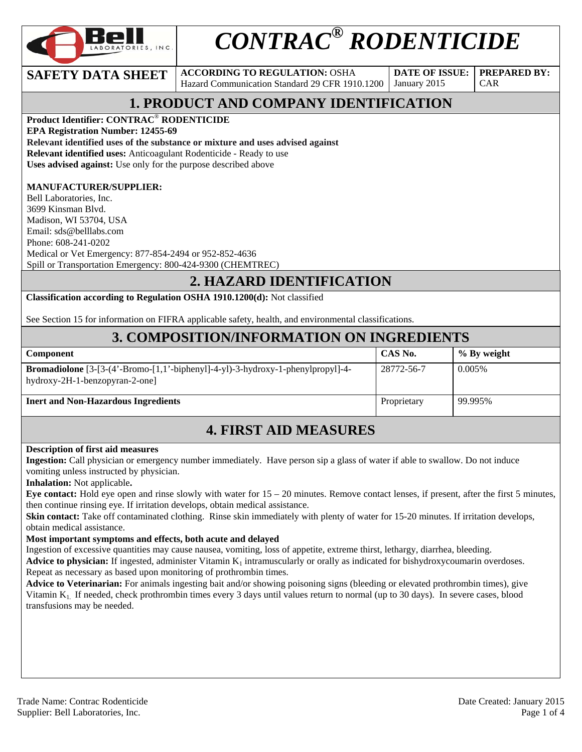

# *CONTRAC® RODENTICIDE*

#### **SAFETY DATA SHEET** ACCORDING TO REGULATION: OSHA

Hazard Communication Standard 29 CFR 1910.1200

**DATE OF ISSUE:**  January 2015

**PREPARED BY:**  CAR

# **1. PRODUCT AND COMPANY IDENTIFICATION**

**Product Identifier: CONTRAC**® **RODENTICIDE** 

**EPA Registration Number: 12455-69** 

**Relevant identified uses of the substance or mixture and uses advised against**

**Relevant identified uses:** Anticoagulant Rodenticide - Ready to use

**Uses advised against:** Use only for the purpose described above

#### **MANUFACTURER/SUPPLIER:**

Bell Laboratories, Inc. 3699 Kinsman Blvd. Madison, WI 53704, USA Email: sds@belllabs.com Phone: 608-241-0202 Medical or Vet Emergency: 877-854-2494 or 952-852-4636 Spill or Transportation Emergency: 800-424-9300 (CHEMTREC)

#### **2. HAZARD IDENTIFICATION**

**Classification according to Regulation OSHA 1910.1200(d):** Not classified

See Section 15 for information on FIFRA applicable safety, health, and environmental classifications.

#### **3. COMPOSITION/INFORMATION ON INGREDIENTS**

| <b>Component</b>                                                                                                                   | CAS No.     | $\%$ By weight |
|------------------------------------------------------------------------------------------------------------------------------------|-------------|----------------|
| <b>Bromadiolone</b> $[3-(4 \cdot Bromo-[1,1 \cdot bipheny]]-4-y] - 3-hydroxy-1-phenylpropyl]-4-$<br>hydroxy-2H-1-benzopyran-2-one] | 28772-56-7  | 0.005%         |
| <b>Inert and Non-Hazardous Ingredients</b>                                                                                         | Proprietary | 99.995%        |

## **4. FIRST AID MEASURES**

#### **Description of first aid measures**

**Ingestion:** Call physician or emergency number immediately. Have person sip a glass of water if able to swallow. Do not induce vomiting unless instructed by physician.

**Inhalation:** Not applicable**.** 

**Eye contact:** Hold eye open and rinse slowly with water for 15 – 20 minutes. Remove contact lenses, if present, after the first 5 minutes, then continue rinsing eye. If irritation develops, obtain medical assistance.

**Skin contact:** Take off contaminated clothing. Rinse skin immediately with plenty of water for 15-20 minutes. If irritation develops, obtain medical assistance.

#### **Most important symptoms and effects, both acute and delayed**

Ingestion of excessive quantities may cause nausea, vomiting, loss of appetite, extreme thirst, lethargy, diarrhea, bleeding.

Advice to physician: If ingested, administer Vitamin K<sub>1</sub> intramuscularly or orally as indicated for bishydroxycoumarin overdoses. Repeat as necessary as based upon monitoring of prothrombin times.

**Advice to Veterinarian:** For animals ingesting bait and/or showing poisoning signs (bleeding or elevated prothrombin times), give Vitamin K1. If needed, check prothrombin times every 3 days until values return to normal (up to 30 days). In severe cases, blood transfusions may be needed.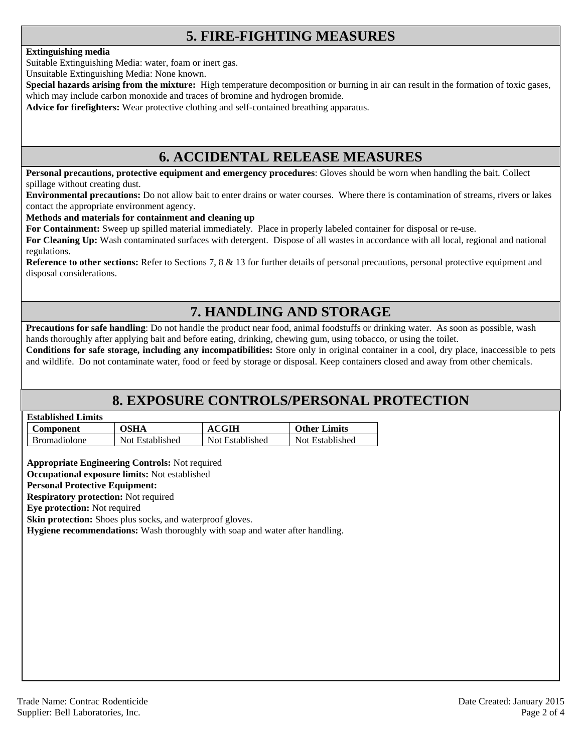# **5. FIRE-FIGHTING MEASURES**

#### **Extinguishing media**

Suitable Extinguishing Media: water, foam or inert gas.

Unsuitable Extinguishing Media: None known.

**Special hazards arising from the mixture:** High temperature decomposition or burning in air can result in the formation of toxic gases, which may include carbon monoxide and traces of bromine and hydrogen bromide.

**Advice for firefighters:** Wear protective clothing and self-contained breathing apparatus.

#### **6. ACCIDENTAL RELEASE MEASURES**

**Personal precautions, protective equipment and emergency procedures**: Gloves should be worn when handling the bait. Collect spillage without creating dust.

**Environmental precautions:** Do not allow bait to enter drains or water courses. Where there is contamination of streams, rivers or lakes contact the appropriate environment agency.

#### **Methods and materials for containment and cleaning up**

**For Containment:** Sweep up spilled material immediately. Place in properly labeled container for disposal or re-use.

**For Cleaning Up:** Wash contaminated surfaces with detergent. Dispose of all wastes in accordance with all local, regional and national regulations.

**Reference to other sections:** Refer to Sections 7, 8 & 13 for further details of personal precautions, personal protective equipment and disposal considerations.

# **7. HANDLING AND STORAGE**

**Precautions for safe handling**: Do not handle the product near food, animal foodstuffs or drinking water. As soon as possible, wash hands thoroughly after applying bait and before eating, drinking, chewing gum, using tobacco, or using the toilet.

**Conditions for safe storage, including any incompatibilities:** Store only in original container in a cool, dry place, inaccessible to pets and wildlife. Do not contaminate water, food or feed by storage or disposal. Keep containers closed and away from other chemicals.

## **8. EXPOSURE CONTROLS/PERSONAL PROTECTION**

| <b>Established Limits</b> |  |
|---------------------------|--|
|                           |  |

| <b>Component</b>    | OSHA            | <b>ACGIH</b>    | <b>Other Limits</b> |
|---------------------|-----------------|-----------------|---------------------|
| <b>Bromadiolone</b> | Not Established | Not Established | Not Established     |

**Appropriate Engineering Controls:** Not required

**Occupational exposure limits:** Not established

#### **Personal Protective Equipment:**

**Respiratory protection:** Not required

**Eye protection:** Not required

**Skin protection:** Shoes plus socks, and waterproof gloves.

**Hygiene recommendations:** Wash thoroughly with soap and water after handling.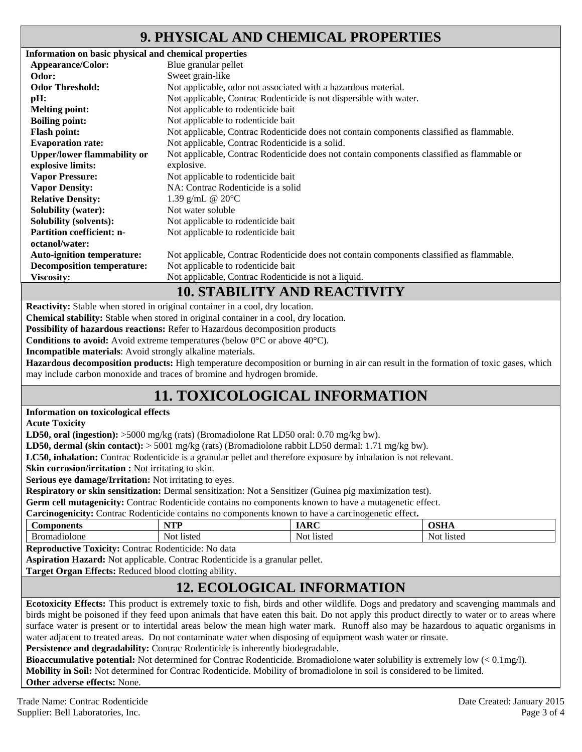# **9. PHYSICAL AND CHEMICAL PROPERTIES**

| Information on basic physical and chemical properties |                                                                                            |
|-------------------------------------------------------|--------------------------------------------------------------------------------------------|
| Appearance/Color:                                     | Blue granular pellet                                                                       |
| Odor:                                                 | Sweet grain-like                                                                           |
| <b>Odor Threshold:</b>                                | Not applicable, odor not associated with a hazardous material.                             |
| pH:                                                   | Not applicable, Contrac Rodenticide is not dispersible with water.                         |
| <b>Melting point:</b>                                 | Not applicable to rodenticide bait                                                         |
| <b>Boiling point:</b>                                 | Not applicable to rodenticide bait                                                         |
| <b>Flash point:</b>                                   | Not applicable, Contrac Rodenticide does not contain components classified as flammable.   |
| <b>Evaporation rate:</b>                              | Not applicable, Contrac Rodenticide is a solid.                                            |
| <b>Upper/lower flammability or</b>                    | Not applicable, Contrac Rodenticide does not contain components classified as flammable or |
| explosive limits:                                     | explosive.                                                                                 |
| <b>Vapor Pressure:</b>                                | Not applicable to rodenticide bait                                                         |
| <b>Vapor Density:</b>                                 | NA: Contrac Rodenticide is a solid                                                         |
| <b>Relative Density:</b>                              | 1.39 g/mL @ $20^{\circ}$ C                                                                 |
| <b>Solubility (water):</b>                            | Not water soluble                                                                          |
| <b>Solubility (solvents):</b>                         | Not applicable to rodenticide bait                                                         |
| <b>Partition coefficient: n-</b>                      | Not applicable to rodenticide bait                                                         |
| octanol/water:                                        |                                                                                            |
| <b>Auto-ignition temperature:</b>                     | Not applicable, Contrac Rodenticide does not contain components classified as flammable.   |
| <b>Decomposition temperature:</b>                     | Not applicable to rodenticide bait                                                         |
| <b>Viscosity:</b>                                     | Not applicable, Contrac Rodenticide is not a liquid.                                       |
|                                                       | 10 CTA DII ITV AND DEA CTIVITTY                                                            |

#### **10. STABILITY AND REACTIVITY**

**Reactivity:** Stable when stored in original container in a cool, dry location.

**Chemical stability:** Stable when stored in original container in a cool, dry location.

**Possibility of hazardous reactions:** Refer to Hazardous decomposition products

**Conditions to avoid:** Avoid extreme temperatures (below 0°C or above 40°C).

**Incompatible materials**: Avoid strongly alkaline materials.

**Hazardous decomposition products:** High temperature decomposition or burning in air can result in the formation of toxic gases, which may include carbon monoxide and traces of bromine and hydrogen bromide.

# **11. TOXICOLOGICAL INFORMATION**

#### **Information on toxicological effects**

**Acute Toxicity** 

**LD50, oral (ingestion):** >5000 mg/kg (rats) (Bromadiolone Rat LD50 oral: 0.70 mg/kg bw).

**LD50, dermal (skin contact):** > 5001 mg/kg (rats) (Bromadiolone rabbit LD50 dermal: 1.71 mg/kg bw).

**LC50, inhalation:** Contrac Rodenticide is a granular pellet and therefore exposure by inhalation is not relevant.

**Skin corrosion/irritation :** Not irritating to skin.

**Serious eye damage/Irritation:** Not irritating to eyes.

**Respiratory or skin sensitization:** Dermal sensitization: Not a Sensitizer (Guinea pig maximization test).

**Germ cell mutagenicity:** Contrac Rodenticide contains no components known to have a mutagenetic effect.

**Carcinogenicity:** Contrac Rodenticide contains no components known to have a carcinogenetic effect**.** 

| nonents   | <b>NTP</b>                            | $\cdot$ Decsinal $\sim$ | $\sim$ $\sim$ $\sim$   |
|-----------|---------------------------------------|-------------------------|------------------------|
| . or      | ,,,,                                  |                         | ,,,,,,                 |
| nadiolone | $\mathbf{v}$<br>Not.<br><b>listed</b> | listed<br>Not           | Not<br>.10ter<br>nsicu |

**Reproductive Toxicity:** Contrac Rodenticide: No data

**Aspiration Hazard:** Not applicable. Contrac Rodenticide is a granular pellet.

**Target Organ Effects:** Reduced blood clotting ability.

## **12. ECOLOGICAL INFORMATION**

**Ecotoxicity Effects:** This product is extremely toxic to fish, birds and other wildlife. Dogs and predatory and scavenging mammals and birds might be poisoned if they feed upon animals that have eaten this bait. Do not apply this product directly to water or to areas where surface water is present or to intertidal areas below the mean high water mark. Runoff also may be hazardous to aquatic organisms in water adjacent to treated areas. Do not contaminate water when disposing of equipment wash water or rinsate.

Persistence and degradability: Contrac Rodenticide is inherently biodegradable.

**Bioaccumulative potential:** Not determined for Contrac Rodenticide. Bromadiolone water solubility is extremely low (< 0.1mg/l). **Mobility in Soil:** Not determined for Contrac Rodenticide. Mobility of bromadiolone in soil is considered to be limited. **Other adverse effects:** None.